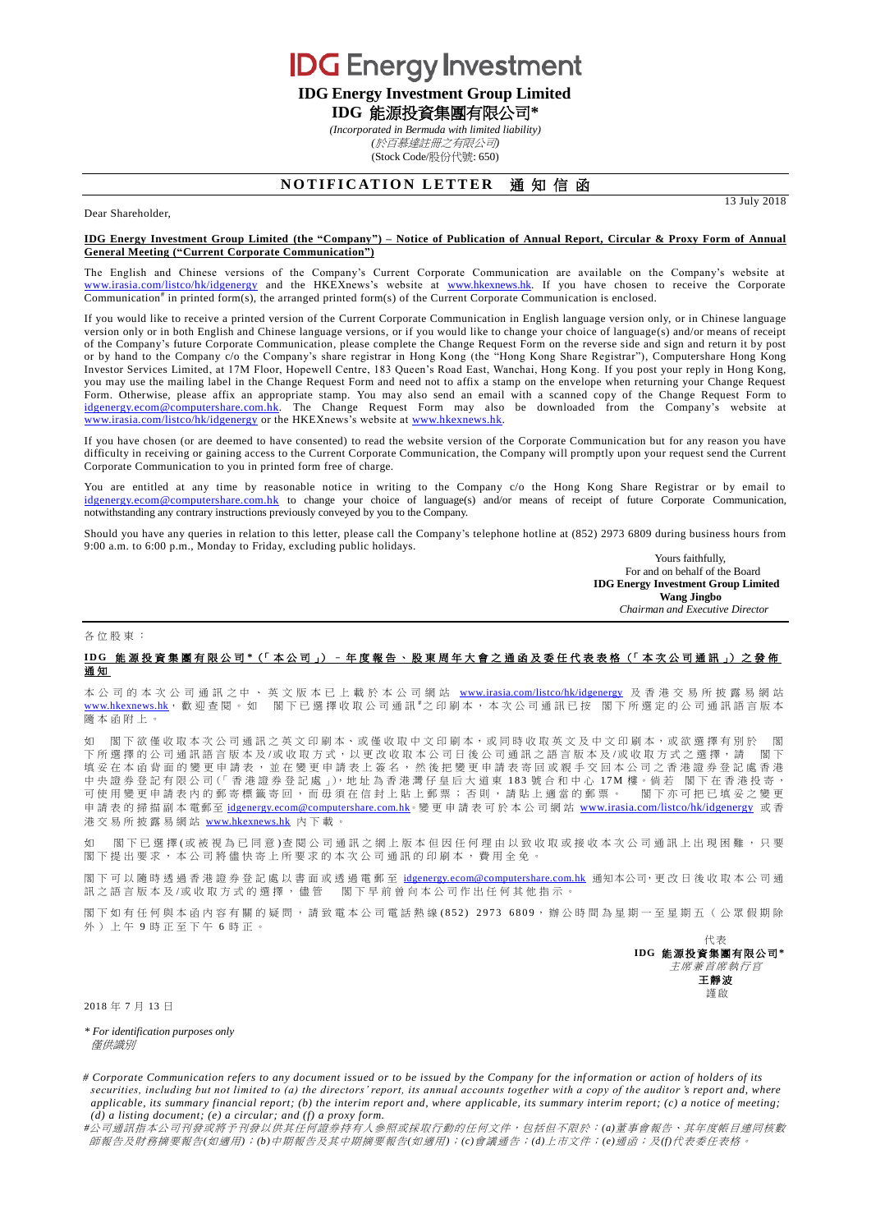**IDG** Energy Investment

**IDG Energy Investment Group Limited**

**IDG** 能源投資集團有限公司**\***

*(Incorporated in Bermuda with limited liability)*

*(*於百慕達註冊之有限公司*)* (Stock Code/股份代號: 650)

## **NOTIFICATION LETTER 通知信函**

Dear Shareholder,

## **IDG Energy Investment Group Limited (the "Company") – Notice of Publication of Annual Report, Circular & Proxy Form of Annual General Meeting ("Current Corporate Communication")**

The English and Chinese versions of the Company's Current Corporate Communication are available on the Company's website at [www.irasia.com/listco/hk/idgenergy](http://www.irasia.com/listco/hk/idgenergy) and the HKEXnews's website at [www.hkexnews.hk.](http://www.hkexnews.hk/) If you have chosen to receive the Corporate Communication<sup>#</sup> in printed form(s), the arranged printed form(s) of the Current Corporate Communication is enclosed.

If you would like to receive a printed version of the Current Corporate Communication in English language version only, or in Chinese language version only or in both English and Chinese language versions, or if you would like to change your choice of language(s) and/or means of receipt of the Company's future Corporate Communication, please complete the Change Request Form on the reverse side and sign and return it by post or by hand to the Company c/o the Company's share registrar in Hong Kong (the "Hong Kong Share Registrar"), Computershare Hong Kong Investor Services Limited, at 17M Floor, Hopewell Centre, 183 Queen's Road East, Wanchai, Hong Kong. If you post your reply in Hong Kong, you may use the mailing label in the Change Request Form and need not to affix a stamp on the envelope when returning your Change Request Form. Otherwise, please affix an appropriate stamp. You may also send an email with a scanned copy of the Change Request Form to [idgenergy.ecom@computershare.com.hk.](mailto:idgenergy.ecom@computershare.com.hk) The Change Request Form may also be downloaded from the Company's website at [www.irasia.com/listco/hk/idgenergy](http://www.irasia.com/listco/hk/idgenergy) or the HKEXnews's website a[t www.hkexnews.hk.](http://www.hkexnews.hk/)

If you have chosen (or are deemed to have consented) to read the website version of the Corporate Communication but for any reason you have difficulty in receiving or gaining access to the Current Corporate Communication, the Company will promptly upon your request send the Current Corporate Communication to you in printed form free of charge.

You are entitled at any time by reasonable notice in writing to the Company c/o the Hong Kong Share Registrar or by email to [idgenergy.ecom@computershare.com.hk](mailto:idgenergy.ecom@computershare.com.hk) to change your choice of language(s) and/or means of receipt of future Corporate Communication, notwithstanding any contrary instructions previously conveyed by you to the Company.

Should you have any queries in relation to this letter, please call the Company's telephone hotline at (852) 2973 6809 during business hours from 9:00 a.m. to 6:00 p.m., Monday to Friday, excluding public holidays.

Yours faithfully, For and on behalf of the Board **IDG Energy Investment Group Limited Wang Jingbo**

*Chairman and Executive Director*

13 July 2018

## 各位股東 :

## **I D G** 能源投資集團有限公司 **\***(「 本 公 司 」) – 年度報告、 股 東 周 年 大 會 之通函及 委 任 代 表 表 格 (「 本次公司通訊 」) 之 發 佈 通 知

本 公 司 的 本 次 公 司 通 訊 之 中 、 英 文 版 本 已 上 載 於 本 公 司 網 站 [www.irasia.com/listco/hk/idgenergy](http://www.irasia.com/listco/hk/idgenergy) 及 香 港 交 易 所 披 露 易 網 站 [www.hkexnews.hk](http://www.hkexnews.hk/), 歡 迎 查 閱 。 如 閣下已選擇收取公司通訊 #之 印 刷 本 , 本次公司通訊已按 閣下所選定的公司通訊語言版本 隨本函附上 。

如 閣下欲僅收取本次公司通訊之英文印刷本、或僅收取中文印刷本,或同時收取英文及中文印刷本,或欲選擇有別於 閣 下所選擇的公司通訊語言版本及/或收取方式,以更改收取本公司日後公司通訊之語言版本及/或收取方式之選擇,請 閣下 填妥在本函背面的變更申請表,並在變更申請表上簽名,然後把變更申請表寄回或親手交回本公司之香港證券登記處香港 中 央 證 券 登 記 有 限 公 司(「 香 港 證 券 登 記 處 」),地 址 為 香 港 灣 仔 皇 后 大 道 東 1 8 3 號合和中心 17M 樓。倘 若 閣 下 在 香 港 投 寄 , 可使用變更申請表內的郵寄標籤寄回,而毋須在信封上貼上郵票;否則,請貼上適當的郵票。 閣下亦可把已填妥之變更 申請表的掃描副本電郵至 idgenergy.ecom@computershare.com.hk。變更申請表可於本公司網站 [www.irasia.com/listco/hk/idgenergy](http://www.irasia.com/listco/hk/idgenergy) 或香 港交易所披露易網站 [www.hkexnews.hk](http://www.hkexnews.hk/) 內 下載。

如 閣下已選擇(或被視為已同意)査閱公司通訊之網上版本但因任何理由以致收取或接收本次公司通訊上出現困難,只要 閣下提出要求,本公司將儘快寄上所要求的本次公司通訊的印刷本,費用全免。

閣下可以隨時透過香港證券登記處以書面或透過電郵至 idgenergy.ecom@computershare.com.hk 通知本公司,更改日後收取本公司通 訊之語言版本及/或收取方式的選擇,儘管 閣下早前曾向本公司作出任何其他指示。

閣下 如 有 任 何 與 本 函 内 容 有 關 的 疑 問 , 請 致 電 本 公 司 雷 話 熱 線 ( 852) 2973 6809 , 辦 公 時 間 為 星 期 一 至 星 期 五 ( 公 眾 假 期 除 外)上午 9 時正至下午 6 時正。

> 代表 **IDG** 能源投資集團有限公司 **\*** 主席兼首席執行官 王靜波 謹啟

2018 年 7 月 13 日

*\* For identification purposes only* 僅供識別

# Corporate Communication refers to any document issued or to be issued by the Company for the information or action of holders of its *securities, including but not limited to (a) the directors' report, its annual accounts together with a copy of the auditor 's report and, where applicable, its summary financial report; (b) the interim report and, where applicable, its summary interim report; (c) a notice of meeting; (d) a listing document; (e) a circular; and (f) a proxy form.*

*#*公司通訊指本公司刊發或將予刊發以供其任何證券持有人參照或採取行動的任何文件,包括但不限於:*(a)*董事會報告、其年度帳目連同核數 師報告及財務摘要報告*(*如適用*)*;*(b)*中期報告及其中期摘要報告*(*如適用*)*;*(c)*會議通告;*(d)*上市文件;*(e)*通函;及*(f)*代表委任表格。